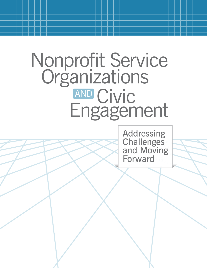# Nonprofit Service **Organizations AND Civic<br>Engagement** AND

Addressing **Challenges** and Moving Forward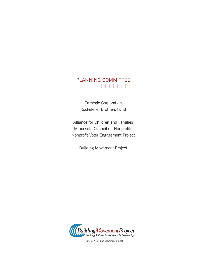## PLANNING COMMITTEE

Carnegie Corporation Rockefeller Brothers Fund

Alliance for Children and Families Minnesota Council on Nonprofits Nonprofit Voter Engagement Project

Building Movement Project



©2007 Building Movement Project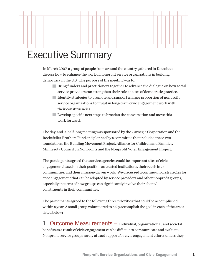### Executive Summary

In March 2007, a group of people from around the country gathered in Detroit to discuss how to enhance the work of nonprofit service organizations in building democracy in the U.S. The purpose of the meeting was to:

- Bring funders and practitioners together to advance the dialogue on how social service providers can strengthen their role as sites of democratic practice.
- Identify strategies to promote and support a larger proportion of nonprofit service organizations to invest in long-term civic engagement work with their constituencies.
- Develop specific next steps to broaden the conversation and move this work forward.

The day-and-a-half long meeting was sponsored by the Carnegie Corporation and the Rockefeller Brothers Fund and planned by a committee that included these two foundations, the Building Movement Project, Alliance for Children and Families, Minnesota Council on Nonprofits and the Nonprofit Voter Engagement Project.

The participants agreed that service agencies could be important sites of civic engagement based on their position as trusted institutions, their reach into communities, and their mission-driven work. We discussed a continuum of strategies for civic engagement that can be adopted by service providers and other nonprofit groups, especially in terms of how groups can significantly involve their client/ constituents in their communities.

The participants agreed to the following three priorities that could be accomplished within a year. A small group volunteered to help accomplish the goal in each of the areas listed below:

1. Outcome Measurements – Individual, organizational, and societal benefits as a result of civic engagement can be difficult to communicate and evaluate. Nonprofit service groups rarely attract support for civic engagement efforts unless they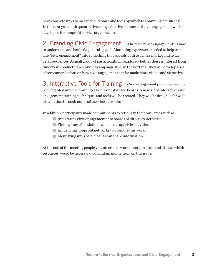have concrete ways to measure outcomes and tools by which to communicate success. In the next year, both quantitative and qualitative measures of civic engagement will be developed for nonprofit service organizations.

2. Branding Civic Engagement – The term "civic engagement" is hard to understand and has little general appeal. Marketing experts are needed to help translate "civic engagement" into something that appeals both to a mass market and to targeted audiences. A small group of participants will explore whether there is interest from funders in conducting a branding campaign. If so, in the next year they will develop a set of recommendations on how civic engagement can be made more visible and attractive.

3. Interactive Tools for Training – Civic engagement practices need to be integrated into the training of nonprofit staff and boards. A new set of interactive civic engagement training techniques and tools will be created. They will be designed for wide distribution through nonprofit service networks.

In addition, participants made commitments to actions in their own areas such as:

- Integrating civic engagement into boards of directors' activities.
- Finding ways foundations can encourage civic activities.
- Influencing nonprofit networks to promote this work.
- Identifying ways participants can share information.

At the end of the meeting people volunteered to work in certain areas and discuss which resources would be necessary to maintain momentum on this issue.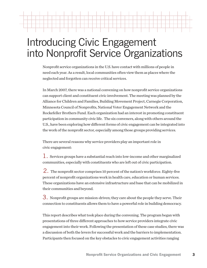### Introducing Civic Engagement into Nonprofit Service Organizations

Nonprofit service organizations in the U.S. have contact with millions of people in need each year. As a result, local communities often view them as places where the neglected and forgotten can receive critical services.

In March 2007, there was a national convening on how nonprofit service organizations can support client and constituent civic involvement. The meeting was planned by the Alliance for Children and Families, Building Movement Project, Carnegie Corporation, Minnesota Council of Nonprofits, National Voter Engagement Network and the Rockefeller Brothers Fund. Each organization had an interest in promoting constituent participation in community civic life. The six conveners, along with others around the U.S., have been exploring how different forms of civic engagement can be integrated into the work of the nonprofit sector, especially among those groups providing services.

There are several reasons why service providers play an important role in civic engagement:

1. Services groups have a substantial reach into low-income and other marginalized communities, especially with constituents who are left out of civic participation.

2. The nonprofit sector comprises 10 percent of the nation's workforce. Eighty-five percent of nonprofit organizations work in health care, education or human services. These organizations have an extensive infrastructure and base that can be mobilized in their communities and beyond.

3. Nonprofit groups are mission-driven; they care about the people they serve. Their connection to constituents allows them to have a powerful role in building democracy.

This report describes what took place during the convening. The program began with presentations of three different approaches to how service providers integrate civic engagement into their work. Following the presentation of these case studies, there was a discussion of both the levers for successful work and the barriers to implementation. Participants then focused on the key obstacles to civic engagement activities ranging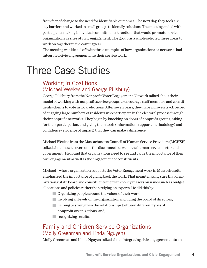from fear of change to the need for identifiable outcomes. The next day, they took six key barriers and worked in small groups to identify solutions. The meeting ended with participants making individual commitments to actions that would promote service organizations as sites of civic engagement. The group as a whole selected three areas to work on together in the coming year.

The meeting was kicked off with three examples of how organizations or networks had integrated civic engagement into their service work.

### Three Case Studies

#### Working in Coalitions (Michael Weekes and George Pillsbury)

George Pillsbury from the Nonprofit Voter Engagement Network talked about their model of working with nonprofit service groups to encourage staff members and constituents/clients to vote in local elections. After seven years, they have a proven track record of engaging large numbers of residents who participate in the electoral process through their nonprofit networks. They begin by knocking on doors of nonprofit groups, asking for their participation, and giving them tools (information, support, methodology) and confidence (evidence of impact) that they can make a difference.

Michael Weekes from the Massachusetts Council of Human Service Providers (MCHSP) talked about how to overcome the disconnect between the human service sector and government. He found that organizations need to see and value the importance of their own engagement as well as the engagement of constituents.

Michael—whose organization supports the Voter Engagement work in Massachusetts emphasized the importance of giving back the work. That meant making sure that organizations' staff, board and constituents met with policy makers on issues such as budget allocations and policies rather than relying on experts. He did this by:

- Organizing people around the values of their work;
- $\blacksquare$  involving all levels of the organization including the board of directors;
- helping to strengthen the relationships between different types of nonprofit organizations; and,
- **Precognizing results.**

### Family and Children Service Organizations (Molly Greenman and Linda Nguyen)

Molly Greenman and Linda Nguyen talked about integrating civic engagement into an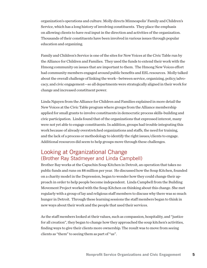organization's operations and culture. Molly directs Minneapolis' Family and Children's Service, which has a long history of involving constituents. They place the emphasis on allowing clients to have real input in the direction and activities of the organization. Thousands of their constituents have been involved in various issues through popular education and organizing.

Family and Children's Service is one of the sites for New Voices at the Civic Table run by the Alliance for Children and Families. They used the funds to extend their work with the Hmong community on issues that are important to them. The Hmong New Voices effort had community members engaged around public benefits and ESL resources. Molly talked about the overall challenge of linking the work—between service, organizing, policy/advocacy, and civic engagement—so all departments were strategically aligned in their work for change and increased constituent power.

Linda Nguyen from the Alliance for Children and Families explained in more detail the New Voices at the Civic Table program where groups from the Alliance membership applied for small grants to involve constituents in democratic process skills-building and civic participation. Linda found that of the organizations that expressed interest, many were not yet able to engage constituents. In addition, groups had trouble integrating this work because of already overstretched organizations and staffs, the need for training, and the lack of a process or methodology to identify the right issues/clients to engage. Additional resources did seem to help groups move through these challenges.

### Looking at Organizational Change (Brother Ray Stadmeyer and Linda Campbell)

Brother Ray works at the Capuchin Soup Kitchen in Detroit, an operation that takes no public funds and runs on \$8 million per year. He discussed how the Soup Kitchen, founded on a charity model in the Depression, began to wonder how they could change their approach in order to help people become independent. Linda Campbell from the Building Movement Project worked with the Soup Kitchen on thinking about this change. She met regularly with a group of lay and religious staff members to discuss why there was so much hunger in Detroit. Through these learning sessions the staff members began to think in new ways about their work and the people that used their services.

As the staff members looked at their values, such as compassion, hospitality, and "justice for all creation", they began to change how they approached the soup kitchen's activities, finding ways to give their clients more ownership. The result was to move from seeing clients as "them" to seeing them as part of "us".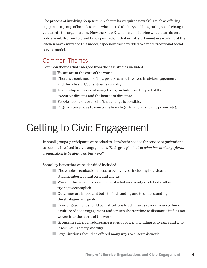The process of involving Soup Kitchen clients has required new skills such as offering support to a group of homeless men who started a bakery and integrating social change values into the organization. Now the Soup Kitchen is considering what it can do on a policy level. Brother Ray and Linda pointed out that not all staff members working at the kitchen have embraced this model, especially those wedded to a more traditional social service model.

#### Common Themes

Common themes that emerged from the case studies included:

- Values are at the core of the work.
- There is a continuum of how groups can be involved in civic engagement and the role staff/constituents can play.
- Leadership is needed at many levels, including on the part of the executive director and the boards of directors.
- People need to have a belief that change is possible.
- Organizations have to overcome fear (legal, financial, sharing power, etc).

### Getting to Civic Engagement

In small groups, participants were asked to list what is needed for service organizations to become involved in civic engagement. Each group looked at *what has to change for an organization to be able to do this work*?

Some key issues that were identified included:

- The whole organization needs to be involved, including boards and staff members, volunteers, and clients.
- Work in this area must complement what an already stretched staff is trying to accomplish.
- Outcomes are important both to find funding and to understanding the strategies and goals.
- Civic engagement should be institutionalized; it takes several years to build a culture of civic engagement and a much shorter time to dismantle it if it's not woven into the fabric of the work.
- Groups need help in addressing issues of power, including who gains and who loses in our society and why.
- Organizations should be offered many ways to enter this work.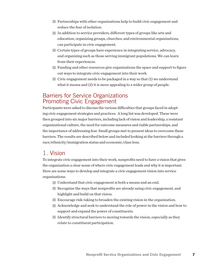- Partnerships with other organizations help to build civic engagement and reduce the fear of isolation.
- In addition to service providers, different types of groups like arts and education, organizing groups, churches, and environmental organizations, can participate in civic engagement.
- Certain types of groups have experience in integrating service, advocacy, and organizing such as those serving immigrant populations. We can learn from their experiences.
- Funding and other resources give organizations the space and support to figure out ways to integrate civic engagement into their work.
- $\Box$  Civic engagement needs to be packaged in a way so that (1) we understand what it means and (2) it is more appealing to a wider group of people.

#### Barriers for Service Organizations Promoting Civic Engagement

Participants were asked to discuss the various difficulties that groups faced in adopting civic engagement strategies and practices. A long list was developed. These were then grouped into six major barriers, including lack of vision and leadership, a resistant organizational culture, the need for outcome measures and viable partnerships, and the importance of addressing fear. Small groups met to present ideas to overcome these barriers. The results are described below and included looking at the barriers through a race/ethnicity/immigration status and economic/class lens.

### 1. Vision

To integrate civic engagement into their work, nonprofits need to have a vision that gives the organization a clear sense of where civic engagement leads and why it is important. Here are some ways to develop and integrate a civic engagement vision into service organizations:

- Understand that civic engagement is both a means and an end.
- Recognize the ways that nonprofits are already using civic engagement, and highlight and build on that vision.
- Encourage risk-taking to broaden the existing vision in the organization.
- Acknowledge and seek to understand the role of power in the vision and how to support and expand the power of constituents.
- Identify structural barriers to moving towards the vision, especially as they relate to constituent participation.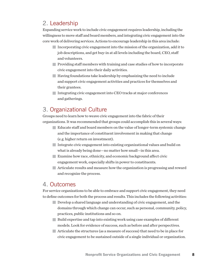### 2. Leadership

Expanding service work to include civic engagement requires leadership, including the willingness to move staff and board members, and integrating civic engagement into the core work of delivering services. Actions to encourage leadership in this area include:

- Incorporating civic engagement into the mission of the organization, add it to job descriptions, and get buy-in at all levels including the board, CEO, staff and volunteers.
- Providing staff members with training and case studies of how to incorporate civic engagement into their daily activities.
- $\blacksquare$  Having foundations take leadership by emphasizing the need to include and support civic engagement activities and practices for themselves and their grantees.
- Integrating civic engagement into CEO tracks at major conferences and gatherings.

### 3. Organizational Culture

Groups need to learn how to weave civic engagement into the fabric of their organizations. It was recommended that groups could accomplish this in several ways:

- Educate staff and board members on the value of longer-term systemic change and the importance of constituent involvement in making that change (e.g. higher return on investment).
- Integrate civic engagement into existing organizational values and build on what is already being done—no matter how small—in this area.
- Examine how race, ethnicity, and economic background affect civic engagement work, especially shifts in power to constituents.
- Articulate results and measure how the organization is progressing and reward and recognize the process.

### 4. Outcomes

For service organizations to be able to embrace and support civic engagement, they need to define outcomes for both the process and results. This includes the following activities:

- Develop a shared language and understanding of civic engagement, and the domains through which change can occur, such as personal, community, policy, practices, public institutions and so on.
- Build expertise and tap into existing work using case examples of different models. Look for evidence of success, such as before and after perspectives.
- Articulate the structures (as a measure of success) that need to be in place for civic engagement to be sustained outside of a single individual or organization.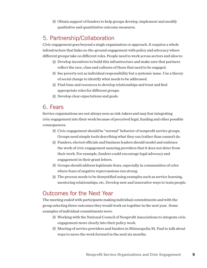■ Obtain support of funders to help groups develop, implement and modify qualitative and quantitative outcome measures.

### 5. Partnership/Collaboration

Civic engagement goes beyond a single organization or approach. It requires a whole infrastructure that links on-the-ground engagement with policy and advocacy where different groups take on different roles. People need to work across sectors and silos to:

- Develop incentives to build this infrastructure and make sure that partners reflect the race, class and cultures of those that need to be engaged.
- See poverty not as individual responsibility but a systemic issue. Use a theory of social change to identify what needs to be addressed.
- Find time and resources to develop relationships and trust and find appropriate roles for different groups.
- Develop clear expectations and goals.

### 6. Fears

Service organizations are not always seen as risk-takers and may fear integrating civic engagement into their work because of perceived legal, funding and other possible consequences.

- Civic engagement should be "normal" behavior of nonprofit service groups. Groups need simple tools describing what they can (rather than cannot) do.
- Funders, elected officials and business leaders should model and embrace the work of civic engagement assuring providers that it does not deter from their work. For example, funders could encourage legal advocacy and engagement in their grant letters.
- Groups should address legitimate fears, especially in communities of color where fears of negative repercussions run strong.
- The process needs to be demystified using examples such as service learning, mentoring relationships, etc. Develop new and innovative ways to train people.

### Outcomes for the Next Year

The meeting ended with participants making individual commitments and with the group selecting three outcomes they would work on together in the next year. Some examples of individual commitments were:

- Working with the National Council of Nonprofit Associations to integrate civic engagement more clearly into their policy work.
- Meeting of service providers and funders in Minneapolis/St. Paul to talk about ways to move the work forward in the next six months.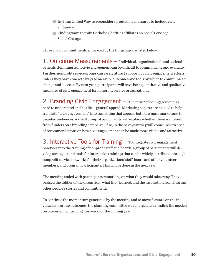- Inviting United Way to reconsider its outcome measures to include civic engagement.
- Finding ways to train Catholic Charities affiliates on Social Service/ Social Change.

Three major commitments embraced by the full group are listed below.

1. Outcome Measurements – Individual, organizational, and societal benefits stemming from civic engagement can be difficult to communicate and evaluate. Further, nonprofit service groups can rarely attract support for civic engagement efforts unless they have concrete ways to measure outcomes and tools by which to communicate change and success. By next year, participants will have both quantitative and qualitative measures of civic engagement for nonprofit service organizations.

2. Branding Civic Engagement – The term "civic engagement" is hard to understand and has little general appeal. Marketing experts are needed to help translate "civic engagement" into something that appeals both to a mass market and to targeted audiences. A small group of participants will explore whether there is interest from funders on a branding campaign. If so, in the next year they will come up with a set of recommendations on how civic engagement can be made more visible and attractive.

3. Interactive Tools for Training – To integrate civic engagement practices into the training of nonprofit staff and boards, a group of participants will develop strategies and tools for interactive trainings that can be widely distributed through nonprofit service networks for their organizations' staff, board and other volunteer members, and program participants. This will be done in the next year.

The meeting ended with participants remarking on what they would take away. They praised the caliber of the discussion, what they learned, and the inspiration from hearing other people's stories and commitment.

To continue the momentum generated by the meeting and to move forward on the individual and group outcomes, the planning committee was charged with finding the needed resources for continuing this work for the coming year.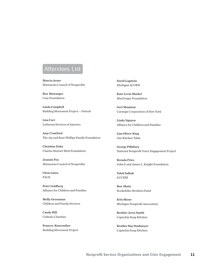### Attendees List

**Marcia Avner** Minnesota Council of Nonprofits

**Ben Biswanger** Case Foundation

**Linda Campbell**  Building Movement Project -- Detroit

**Lisa Carr** Lutheran Services of America

**Amy Crawford** The Jay and Rose Phillips Family Foundation

**Christine Doby** Charles Stewart Mott Foundation

**Jeannie Fox** Minnesota Council of Nonprofits

**Chris Gates** PACE

**Peter Goldberg** Alliance for Children and Families

**Molly Greenman** Children and Family Services

**Candy Hill** Catholic Charities

**Frances Kunreuther**  Building Movement Project **David Lagstein** Michigan ACORN

**Kate Levin Markel** MacGregor Foundation

**Geri Mannion** Carnegie Corporation of New York

**Linda Nguyen** Alliance for Children and Families

**Lisa Oliver-King** Our Kitchen Table

**George Pillsbury** National Nonprofit Voter Engagement Project

**Brenda Price**  John S. and James L. Knight Foundation

**Taleb Salhab** ACCESS

**Ben Shute** Rockefeller Brothers Fund

**Erin Skene** Michigan Nonprofit Association

**Brother Jerry Smith** Capuchin Soup Kitchen

**Brother Ray Stadmeyer** Capuchin Soup Kitchen